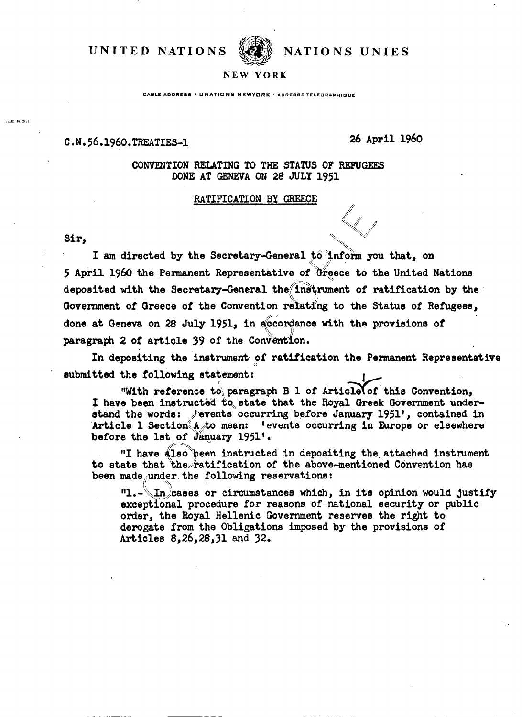**UNITED NATIONS WE NATIONS UNIES** 



## **N EW YOR K**

**CABLE ADDRESS • UNATIONS NEWYORK • ADDESSE TELEGRABLIQUE** 

## C.N.56.1960.TREATIES-1

 $26$  A 26 April 1960

CONVENTION RELATING TO THE STATUS OF REFUGEES DONE AT GENEVA ON 28 JULY 1951

## RATIFICATION BY GREECE RATIFICATION BY GREECE

**. \_E NO.:**

EATIFICATION BY GREECE<br>
Sir,<br>
I am directed by the Secretary-General to inform you that, on 5 April I960 the Permanent Representative of Greece to the United Nations deposited with the Secretary-General thefinstrument of ratification by the Government of Greece of the Convention relating to the Status of Refugees, done at Geneva on 28 July 1951, in accordance with the provisions of paragraph 2 of article 39 of the Convention.

In depositing the instrument of ratification the Permanent Representative submitted the following statement:

"With reference to paragraph B 1 of Article of this Convention, I have been instructed to state that the Royal Greek Government understand the words: Jevents occurring before January 1951', contained in Article 1 Section A to mean: 'events occurring in Europe or elsewhere before the lst of January 1951'.

"I have also 'been instructed in depositing the attached instrument to state that the ratification of the above-mentioned Convention has been made under the following reservations:

"l.- $\ln$  cases or circumstances which, in its opinion would justify exceptional procedure for reasons of national security or public order, the Royal Hellenic Government reserves the right to derogate from the Obligations imposed by the provisions of Articles 8,26,28,31 and 32.